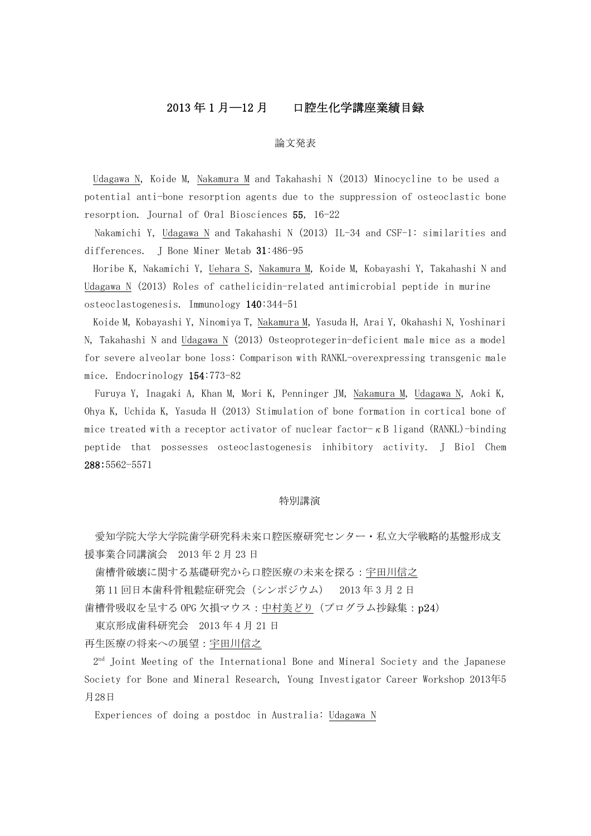# 2013 年 1 月―12 月 口腔生化学講座業績目録

### 論文発表

Udagawa N, Koide M, Nakamura M and Takahashi N (2013) Minocycline to be used a potential anti-bone resorption agents due to the suppression of osteoclastic bone resorption. Journal of Oral Biosciences 55, 16-22

Nakamichi Y, Udagawa N and Takahashi N (2013) IL-34 and CSF-1: similarities and differences. J Bone Miner Metab 31:486-95

Horibe K, Nakamichi Y, Uehara S, Nakamura M, Koide M, Kobayashi Y, Takahashi N and Udagawa N (2013) Roles of cathelicidin-related antimicrobial peptide in murine osteoclastogenesis. Immunology 140:344-51

Koide M, Kobayashi Y, Ninomiya T, Nakamura M, Yasuda H, Arai Y, Okahashi N, Yoshinari N, Takahashi N and Udagawa N (2013) Osteoprotegerin-deficient male mice as a model for severe alveolar bone loss: Comparison with RANKL-overexpressing transgenic male mice. Endocrinology 154:773-82

Furuya Y, Inagaki A, Khan M, Mori K, Penninger JM, Nakamura M, Udagawa N, Aoki K, Ohya K, Uchida K, Yasuda H (2013) Stimulation of bone formation in cortical bone of mice treated with a receptor activator of nuclear factor- $\kappa$  B ligand (RANKL)-binding peptide that possesses osteoclastogenesis inhibitory activity. J Biol Chem 288:5562-5571

#### 特別講演

愛知学院大学院歯学研究科未来口腔医療研究センター・私立大学戦略的基盤形成支 援事業合同講演会 2013 年 2 月 23 日

歯槽骨破壊に関する基礎研究から口腔医療の未来を探る:宇田川信之

第 11 回日本歯科骨粗鬆症研究会(シンポジウム) 2013 年 3 月 2 日

歯槽骨吸収を呈する OPG 欠損マウス:中村美どり(プログラム抄録集:p24)

東京形成歯科研究会 2013 年 4 月 21 日

再生医療の将来への展望:宇田川信之

2nd Joint Meeting of the International Bone and Mineral Society and the Japanese Society for Bone and Mineral Research, Young Investigator Career Workshop 2013年5 月28日

Experiences of doing a postdoc in Australia: Udagawa N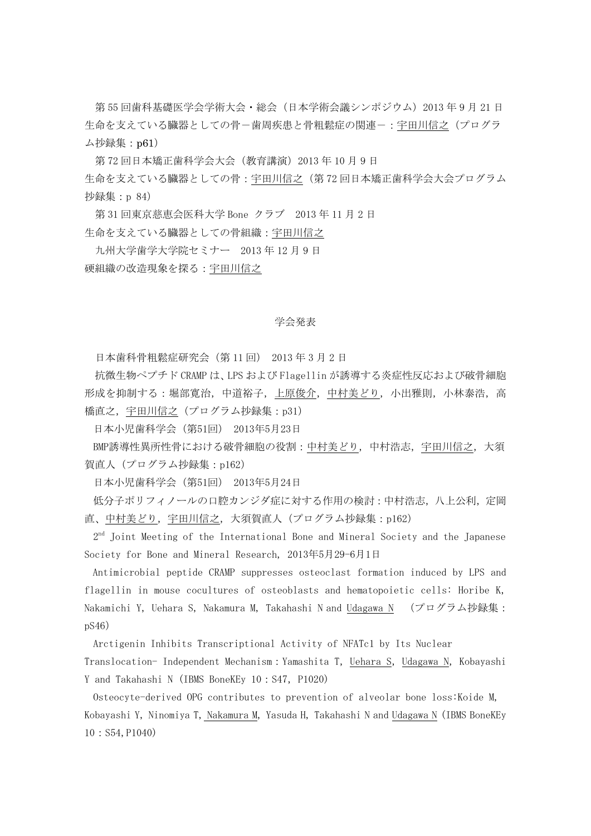第55回歯科基礎医学会学術大会・総会(日本学術会議シンポジウム) 2013年9月21日 生命を支えている臓器としての骨ー歯周疾患と骨粗鬆症の関連ー:宇田川信之(プログラ ム抄録集:p61)

第 72 回日本矯正歯科学会大会(教育講演) 2013 年 10 月 9 日 生命を支えている臓器としての骨:宇田川信之(第 72 回日本矯正歯科学会大会プログラム 抄録集:p 84)

第 31 回東京慈恵会医科大学 Bone クラブ 2013 年 11 月 2 日 生命を支えている臓器としての骨組織:宇田川信之

 九州大学歯学大学院セミナー 2013 年 12 月 9 日 硬組織の改造現象を探る:宇田川信之

# 学会発表

日本歯科骨粗鬆症研究会(第 11 回) 2013 年 3 月 2 日

抗微生物ペプチド CRAMP は、LPS および Flagellin が誘導する炎症性反応および破骨細胞 形成を抑制する:堀部寛治,中道裕子,上原俊介,中村美どり,小出雅則,小林泰浩,高 橋直之,宇田川信之(プログラム抄録集:p31)

日本小児歯科学会(第51回) 2013年5月23日

BMP誘導性異所性骨における破骨細胞の役割:中村美どり,中村浩志,宇田川信之,大須 賀直人(プログラム抄録集:p162)

日本小児歯科学会(第51回) 2013年5月24日

低分子ポリフィノールの口腔カンジダ症に対する作用の検討:中村浩志,八上公利,定岡 直、中村美どり, 宇田川信之, 大須賀直人 (プログラム抄録集: p162)

2<sup>nd</sup> Joint Meeting of the International Bone and Mineral Society and the Japanese Society for Bone and Mineral Research, 2013年5月29-6月1日

Antimicrobial peptide CRAMP suppresses osteoclast formation induced by LPS and flagellin in mouse cocultures of osteoblasts and hematopoietic cells: Horibe K, Nakamichi Y, Uehara S, Nakamura M, Takahashi N and Udagawa N (プログラム抄録集: pS46)

Arctigenin Inhibits Transcriptional Activity of NFATc1 by Its Nuclear

Translocation- Independent Mechanism: Yamashita T, Uehara S, Udagawa N, Kobayashi Y and Takahashi N (IBMS BoneKEy 10: S47, P1020)

Osteocyte-derived OPG contributes to prevention of alveolar bone loss:Koide M, Kobayashi Y, Ninomiya T, Nakamura M, Yasuda H, Takahashi N and Udagawa N (IBMS BoneKEy 10:S54,P1040)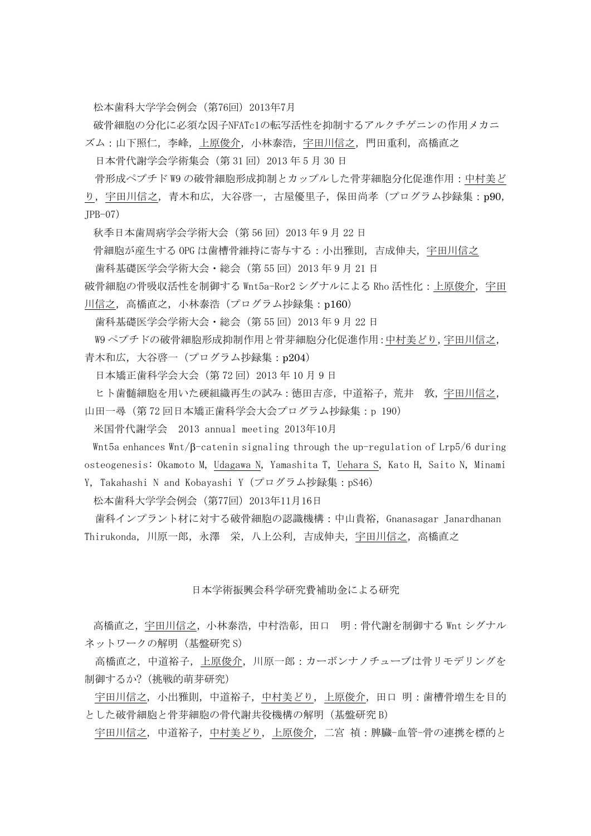松本歯科大学学会例会(第76回)2013年7月

破骨細胞の分化に必須な因子NFATc1の転写活性を抑制するアルクチゲニンの作用メカニ

ズム:山下照仁,李峰,上原俊介,小林泰浩,宇田川信之,門田重利,高橋直之

日本骨代謝学会学術集会(第 31 回)2013 年 5 月 30 日

骨形成ペプチド W9 の破骨細胞形成抑制とカップルした骨芽細胞分化促進作用:中村美ど り,宇田川信之,青木和広,大谷啓一,古屋優里子,保田尚孝(プログラム抄録集:p90,  $IPB-07$ )

秋季日本歯周病学会学術大会(第 56 回)2013 年 9 月 22 日

骨細胞が産生する OPG は歯槽骨維持に寄与する:小出雅則,吉成伸夫,宇田川信之

歯科基礎医学会学術大会・総会(第 55 回)2013 年 9 月 21 日

破骨細胞の骨吸収活性を制御する Wnt5a-Ror2 シグナルによる Rho 活性化:上原俊介,宇田 川信之, 高橋直之, 小林泰浩(プログラム抄録集: p160)

歯科基礎医学会学術大会・総会(第 55 回)2013 年 9 月 22 日

W9 ペプチドの破骨細胞形成抑制作用と骨芽細胞分化促進作用:中村美どり,宇田川信之, 青木和広,大谷啓一(プログラム抄録集:p204)

日本矯正歯科学会大会(第 72 回)2013 年 10 月 9 日

ヒト歯髄細胞を用いた硬組織再生の試み:徳田吉彦,中道裕子,荒井 敦,宇田川信之, 山田一尋(第 72 回日本矯正歯科学会大会プログラム抄録集:p 190)

米国骨代謝学会 2013 annual meeting 2013年10月

Wnt5a enhances Wnt/β-catenin signaling through the up-regulation of Lrp5/6 during osteogenesis: Okamoto M, Udagawa N, Yamashita T, Uehara S, Kato H, Saito N, Minami Y, Takahashi N and Kobayashi Y(プログラム抄録集:pS46)

松本歯科大学学会例会(第77回)2013年11月16日

 歯科インプラント材に対する破骨細胞の認識機構:中山貴裕,Gnanasagar Janardhanan Thirukonda, 川原一郎,永澤 栄,八上公利,吉成伸夫,宇田川信之,高橋直之

## 日本学術振興会科学研究費補助金による研究

高橋直之,宇田川信之,小林泰浩,中村浩彰,田口 明:骨代謝を制御する Wnt シグナル ネットワークの解明(基盤研究 S)

高橋直之,中道裕子,上原俊介,川原一郎:カーボンナノチューブは骨リモデリングを 制御するか?(挑戦的萌芽研究)

宇田川信之, 小出雅則,中道裕子,中村美どり,上原俊介,田口 明:歯槽骨増生を目的 とした破骨細胞と骨芽細胞の骨代謝共役機構の解明(基盤研究 B)

宇田川信之, 中道裕子,中村美どり,上原俊介,二宮 禎:脾臓-血管-骨の連携を標的と